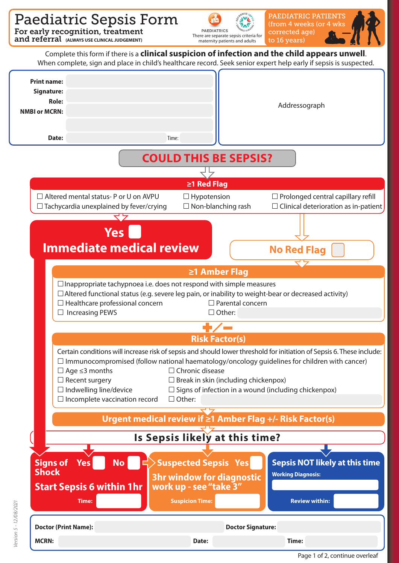and referral **(ALWAYS USE CLINICAL JUDGEMENT)** 

PAEDIATRIC PATIENTS (from 4 weeks (or 4 wks **PAEDIATRICS** corrected age) There are separate sepsis criteria for **connect and a separate separate** to 16 years) Complete this form if there is a **clinical suspicion of infection and the child appears un** When complete, sign and place in child's healthcare record. Seek senior expert help early if sepsis is suspected. **Print name: Signature: Role:** Addressograph **NMBI or MCRN: Date:** Time: **COULD THIS BE SEPSIS?≥1 Red Flag** ☐ Altered mental status- P or U on AVPU ☐ Hypotension ☐ Prolonged central capillary rell ☐ Tachycardia unexplained by fever/crying ☐ Non-blanching rash ☐ Clinical deterioration as in-patient ਵਾਸ **Yes Immediate medical review No Red Flag ≥1 Amber Flag**

 $\Box$ Inappropriate tachypnoea i.e. does not respond with simple measures

☐ Altered functional status (e.g. severe leg pain, or inability to weight-bear or decreased activity)

- ☐ Healthcare professional concern ☐ Parental concern ☐ Increasing PEWS ☐ Other:
- - **Risk Factor(s)**



**Suspicion Time:**

**Doctor (Print Name): Doctor Signature:**

Page 1 of 2, continue overleaf **MCRN: Date: Time:**

**Review within:**

**Time:**